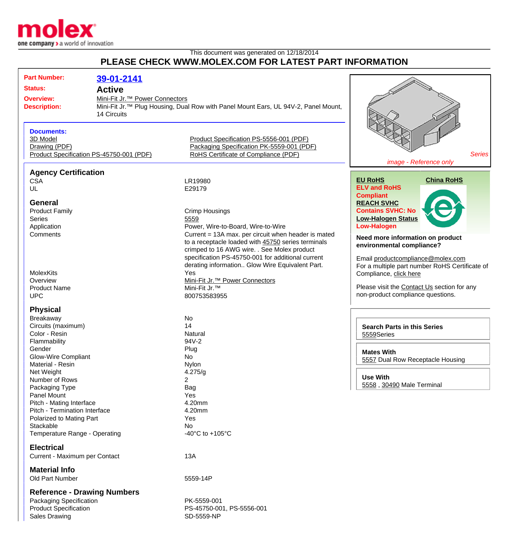

## This document was generated on 12/18/2014 **PLEASE CHECK WWW.MOLEX.COM FOR LATEST PART INFORMATION**

| <b>Part Number:</b>                      | 39-01-2141                                 |                                                                                                |                                                |
|------------------------------------------|--------------------------------------------|------------------------------------------------------------------------------------------------|------------------------------------------------|
| <b>Status:</b>                           | <b>Active</b>                              |                                                                                                |                                                |
| <b>Overview:</b>                         | Mini-Fit Jr. <sup>™</sup> Power Connectors |                                                                                                |                                                |
| <b>Description:</b>                      |                                            | Mini-Fit Jr. <sup>™</sup> Plug Housing, Dual Row with Panel Mount Ears, UL 94V-2, Panel Mount, |                                                |
|                                          | 14 Circuits                                |                                                                                                |                                                |
|                                          |                                            |                                                                                                |                                                |
|                                          |                                            |                                                                                                |                                                |
| <b>Documents:</b>                        |                                            |                                                                                                |                                                |
| 3D Model                                 |                                            | Product Specification PS-5556-001 (PDF)                                                        |                                                |
| Drawing (PDF)                            |                                            | Packaging Specification PK-5559-001 (PDF)                                                      |                                                |
| Product Specification PS-45750-001 (PDF) |                                            | RoHS Certificate of Compliance (PDF)                                                           | <b>Series</b>                                  |
|                                          |                                            |                                                                                                | image - Reference only                         |
| <b>Agency Certification</b>              |                                            |                                                                                                |                                                |
| <b>CSA</b>                               |                                            | LR19980                                                                                        | <b>EU RoHS</b><br><b>China RoHS</b>            |
| UL                                       |                                            | E29179                                                                                         | <b>ELV and RoHS</b>                            |
|                                          |                                            |                                                                                                | <b>Compliant</b>                               |
| <b>General</b>                           |                                            |                                                                                                | <b>REACH SVHC</b>                              |
| <b>Product Family</b>                    |                                            | <b>Crimp Housings</b>                                                                          | <b>Contains SVHC: No</b>                       |
| <b>Series</b>                            |                                            | 5559                                                                                           | <b>Low-Halogen Status</b>                      |
| Application                              |                                            | Power, Wire-to-Board, Wire-to-Wire                                                             | <b>Low-Halogen</b>                             |
| Comments                                 |                                            | Current = 13A max. per circuit when header is mated                                            | Need more information on product               |
|                                          |                                            | to a receptacle loaded with 45750 series terminals                                             | environmental compliance?                      |
|                                          |                                            | crimped to 16 AWG wire. . See Molex product                                                    |                                                |
|                                          |                                            | specification PS-45750-001 for additional current                                              | Email productcompliance@molex.com              |
|                                          |                                            | derating information Glow Wire Equivalent Part.                                                | For a multiple part number RoHS Certificate of |
| <b>MolexKits</b>                         |                                            | Yes                                                                                            | Compliance, click here                         |
| Overview                                 |                                            | Mini-Fit Jr. <sup>™</sup> Power Connectors                                                     |                                                |
| <b>Product Name</b>                      |                                            | Mini-Fit Jr.™                                                                                  | Please visit the Contact Us section for any    |
| <b>UPC</b>                               |                                            | 800753583955                                                                                   | non-product compliance questions.              |
| <b>Physical</b>                          |                                            |                                                                                                |                                                |
| Breakaway                                |                                            | No                                                                                             |                                                |
| Circuits (maximum)                       |                                            | 14                                                                                             | <b>Search Parts in this Series</b>             |
| Color - Resin                            |                                            | Natural                                                                                        |                                                |
| Flammability                             |                                            | 94V-2                                                                                          | 5559Series                                     |
| Gender                                   |                                            | Plug                                                                                           |                                                |
| Glow-Wire Compliant                      |                                            | No                                                                                             | <b>Mates With</b>                              |
| Material - Resin                         |                                            | Nylon                                                                                          | 5557 Dual Row Receptacle Housing               |
| Net Weight                               |                                            | 4.275/g                                                                                        |                                                |
| Number of Rows                           |                                            | 2                                                                                              | <b>Use With</b>                                |
| Packaging Type                           |                                            | <b>Bag</b>                                                                                     | 5558, 30490 Male Terminal                      |
| <b>Panel Mount</b>                       |                                            | Yes                                                                                            |                                                |
| Pitch - Mating Interface                 |                                            | 4.20mm                                                                                         |                                                |
| Pitch - Termination Interface            |                                            | 4.20mm                                                                                         |                                                |
| Polarized to Mating Part                 |                                            | Yes                                                                                            |                                                |
| Stackable                                |                                            | No                                                                                             |                                                |
| Temperature Range - Operating            |                                            | -40 $^{\circ}$ C to +105 $^{\circ}$ C                                                          |                                                |
|                                          |                                            |                                                                                                |                                                |
| <b>Electrical</b>                        |                                            |                                                                                                |                                                |
| Current - Maximum per Contact            |                                            | 13A                                                                                            |                                                |
| <b>Material Info</b>                     |                                            |                                                                                                |                                                |
| Old Part Number                          |                                            | 5559-14P                                                                                       |                                                |
|                                          |                                            |                                                                                                |                                                |
| <b>Reference - Drawing Numbers</b>       |                                            |                                                                                                |                                                |
| Packaging Specification                  |                                            | PK-5559-001                                                                                    |                                                |
| <b>Product Specification</b>             |                                            | PS-45750-001, PS-5556-001                                                                      |                                                |
| <b>Sales Drawing</b>                     |                                            | SD-5559-NP                                                                                     |                                                |